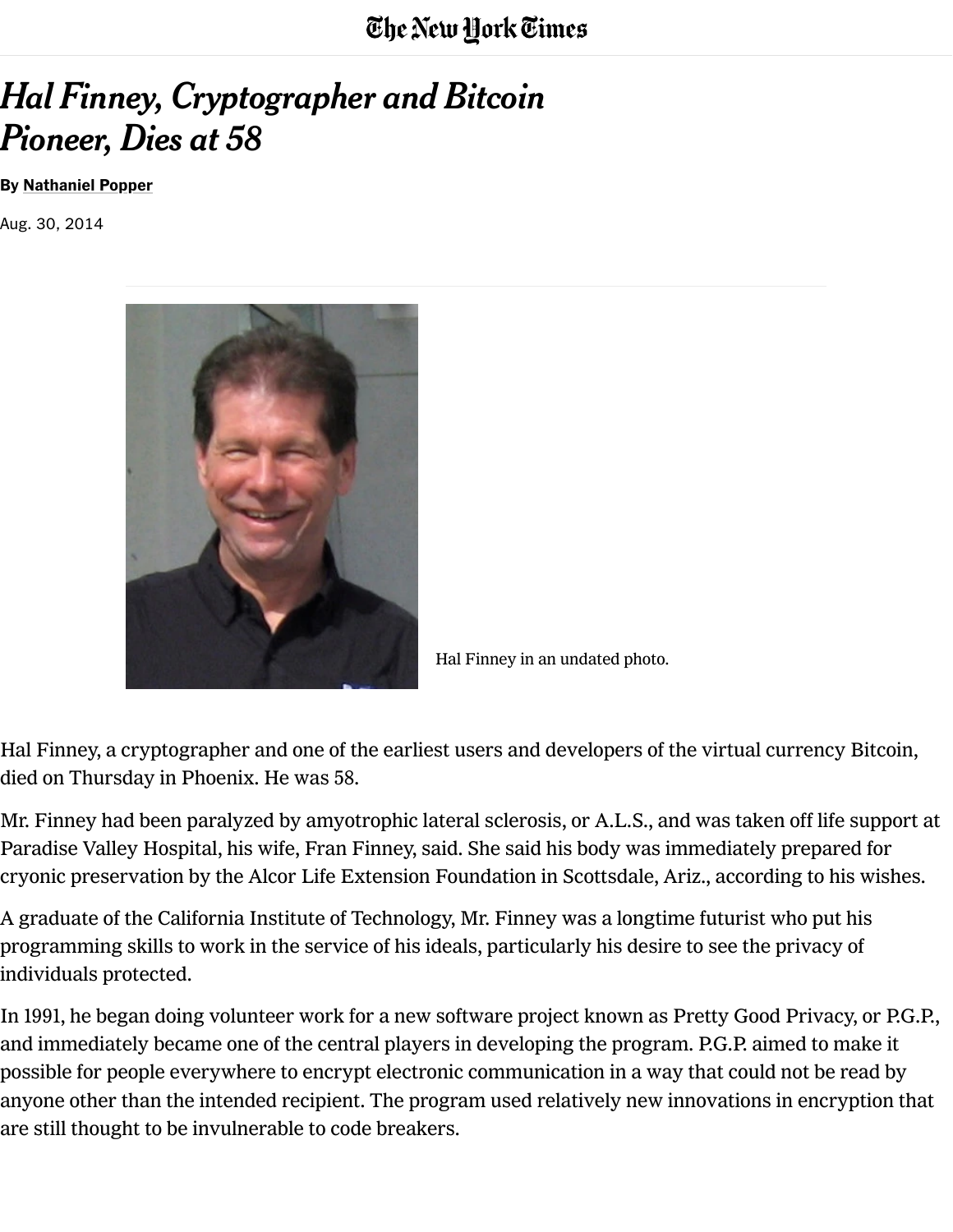## Hal Finney, Cryptographer and Bitcoin Pioneer, Dies at 58

## By [Nathaniel](http://www.nytimes.com/by/nathaniel-popper) Popper

Aug. 30, 2014



Hal Finney in an undated photo.

Hal Finney, a cryptographer and one of the earliest users and developers of the virtual currency Bitcoin, died on Thursday in Phoenix. He was 58.

Mr. Finney had been paralyzed by amyotrophic lateral sclerosis, or A.L.S., and was taken off life support at Paradise Valley Hospital, his wife, Fran Finney, said. She said his body was immediately prepared for cryonic preservation by the Alcor Life Extension Foundation in Scottsdale, Ariz., according to his wishes.

A graduate of the California Institute of Technology, Mr. Finney was a longtime futurist who put his programming skills to work in the service of his ideals, particularly his desire to see the privacy of individuals protected.

In 1991, he began doing volunteer work for a new software project known as Pretty Good Privacy, or P.G.P., and immediately became one of the central players in developing the program. P.G.P. aimed to make it possible for people everywhere to encrypt electronic communication in a way that could not be read by anyone other than the intended recipient. The program used relatively new innovations in encryption that are still thought to be invulnerable to code breakers.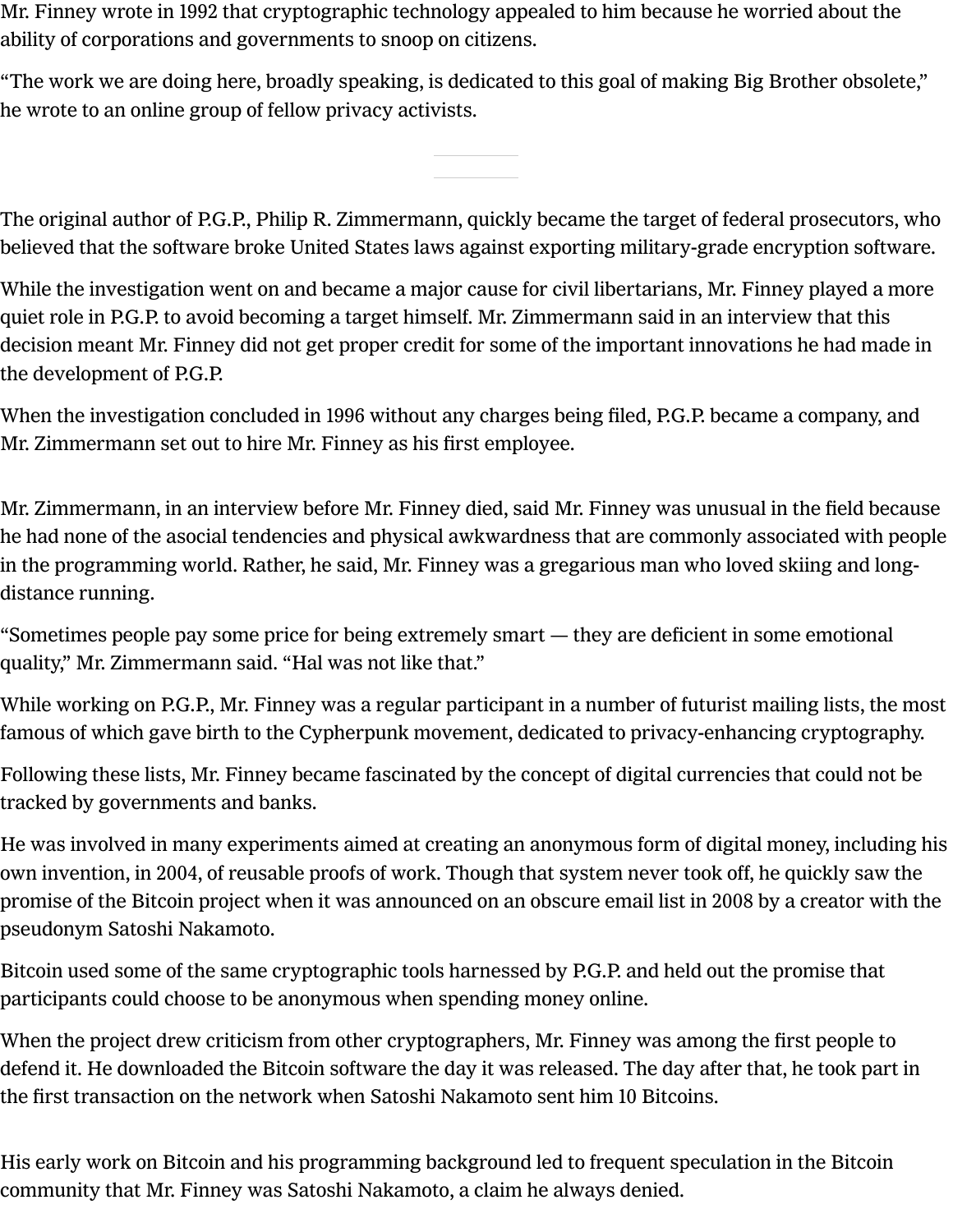Mr. Finney wrote in 1992 that cryptographic technology appealed to him because he worried about the ability of corporations and governments to snoop on citizens.

"The work we are doing here, broadly speaking, is dedicated to this goal of making Big Brother obsolete," he wrote to an online group of fellow privacy activists.

The original author of P.G.P., Philip R. Zimmermann, quickly became the target of federal prosecutors, who believed that the software broke United States laws against exporting military-grade encryption software.

While the investigation went on and became a major cause for civil libertarians, Mr. Finney played a more quiet role in P.G.P. to avoid becoming a target himself. Mr. Zimmermann said in an interview that this decision meant Mr. Finney did not get proper credit for some of the important innovations he had made in the development of P.G.P.

When the investigation concluded in 1996 without any charges being filed, P.G.P. became a company, and Mr. Zimmermann set out to hire Mr. Finney as his first employee.

Mr. Zimmermann, in an interview before Mr. Finney died, said Mr. Finney was unusual in the field because he had none of the asocial tendencies and physical awkwardness that are commonly associated with people in the programming world. Rather, he said, Mr. Finney was a gregarious man who loved skiing and longdistance running.

"Sometimes people pay some price for being extremely smart — they are deficient in some emotional quality," Mr. Zimmermann said. "Hal was not like that."

While working on P.G.P., Mr. Finney was a regular participant in a number of futurist mailing lists, the most famous of which gave birth to the Cypherpunk movement, dedicated to privacy-enhancing cryptography.

Following these lists, Mr. Finney became fascinated by the concept of digital currencies that could not be tracked by governments and banks.

He was involved in many experiments aimed at creating an anonymous form of digital money, including his own invention, in 2004, of reusable proofs of work. Though that system never took off, he quickly saw the promise of the Bitcoin project when it was announced on an obscure email list in 2008 by a creator with the pseudonym Satoshi Nakamoto.

Bitcoin used some of the same cryptographic tools harnessed by P.G.P. and held out the promise that participants could choose to be anonymous when spending money online.

When the project drew criticism from other cryptographers, Mr. Finney was among the first people to defend it. He downloaded the Bitcoin software the day it was released. The day after that, he took part in the first transaction on the network when Satoshi Nakamoto sent him 10 Bitcoins.

His early work on Bitcoin and his programming background led to frequent speculation in the Bitcoin community that Mr. Finney was Satoshi Nakamoto, a claim he always denied.